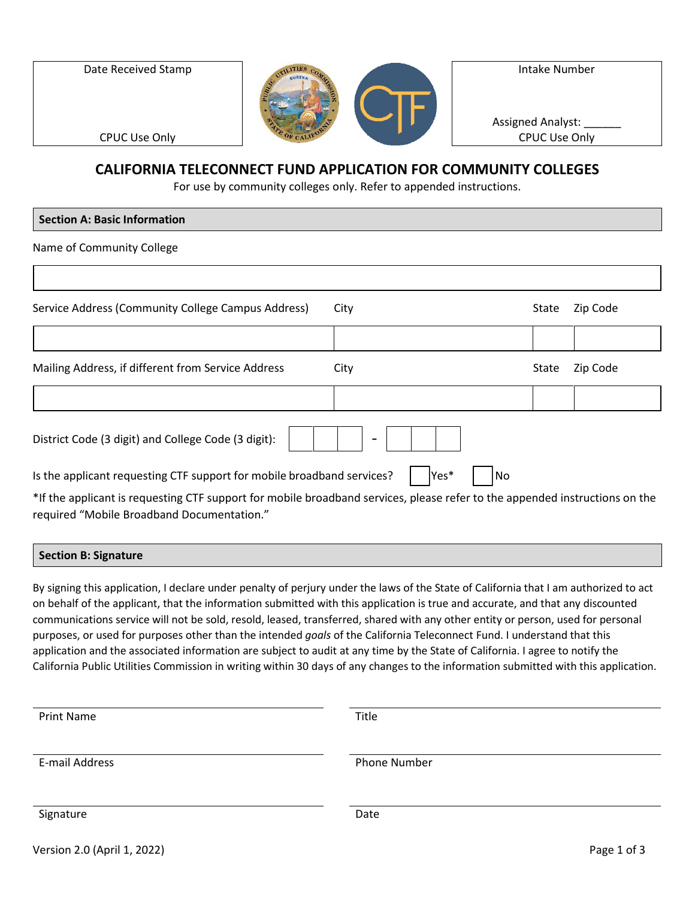Date Received Stamp



Intake Number Assigned Analyst: CPUC Use Only

CPUC Use Only

## **CALIFORNIA TELECONNECT FUND APPLICATION FOR COMMUNITY COLLEGES**

For use by community colleges only. Refer to appended instructions.

| <b>Section A: Basic Information</b>                                                                                         |              |       |          |
|-----------------------------------------------------------------------------------------------------------------------------|--------------|-------|----------|
| Name of Community College                                                                                                   |              |       |          |
|                                                                                                                             |              |       |          |
| Service Address (Community College Campus Address)<br>City                                                                  |              | State | Zip Code |
|                                                                                                                             |              |       |          |
| Mailing Address, if different from Service Address<br>City                                                                  |              | State | Zip Code |
|                                                                                                                             |              |       |          |
| District Code (3 digit) and College Code (3 digit):                                                                         |              |       |          |
| Is the applicant requesting CTF support for mobile broadband services?                                                      | Yes*<br>l No |       |          |
| *If the applicant is requesting CTF support for mobile broadband services, please refer to the appended instructions on the |              |       |          |

required "Mobile Broadband Documentation."

### **Section B: Signature**

By signing this application, I declare under penalty of perjury under the laws of the State of California that I am authorized to act on behalf of the applicant, that the information submitted with this application is true and accurate, and that any discounted communications service will not be sold, resold, leased, transferred, shared with any other entity or person, used for personal purposes, or used for purposes other than the intended *goals* of the California Teleconnect Fund. I understand that this application and the associated information are subject to audit at any time by the State of California. I agree to notify the California Public Utilities Commission in writing within 30 days of any changes to the information submitted with this application.

| <b>Print Name</b>           | Title        |             |
|-----------------------------|--------------|-------------|
| E-mail Address              | Phone Number |             |
| Signature                   | Date         |             |
| Version 2.0 (April 1, 2022) |              | Page 1 of 3 |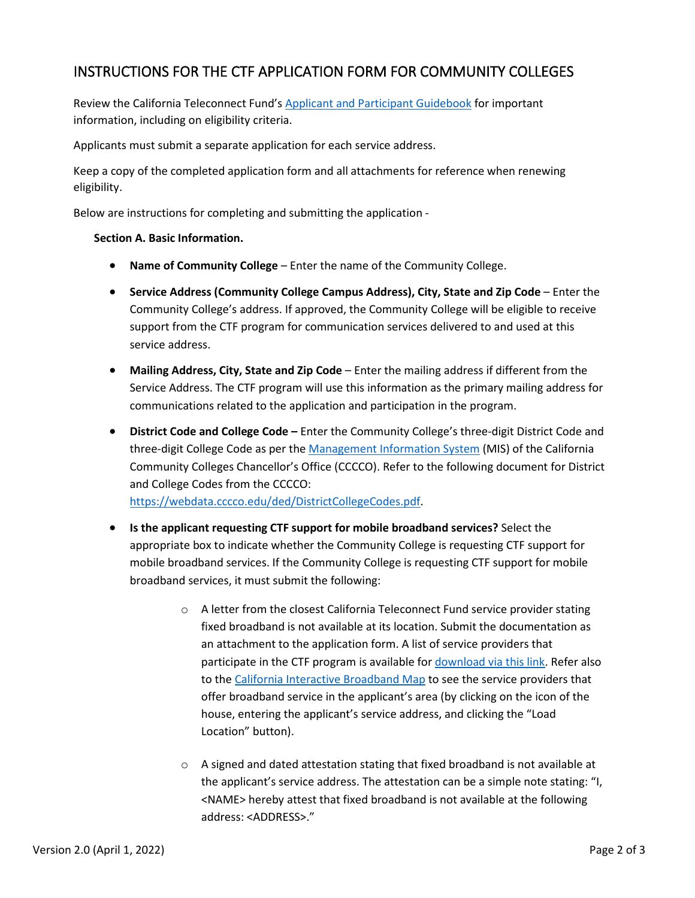# INSTRUCTIONS FOR THE CTF APPLICATION FORM FOR COMMUNITY COLLEGES

Review the California Teleconnect Fund's [Applicant and Participant Guidebook](https://www.cpuc.ca.gov/-/media/cpuc-website/divisions/communications-division/documents/california-teleconnect-fund/ctf_applicant_and_participant_guidebook.pdf) for important information, including on eligibility criteria.

Applicants must submit a separate application for each service address.

Keep a copy of the completed application form and all attachments for reference when renewing eligibility.

Below are instructions for completing and submitting the application -

### **Section A. Basic Information.**

- **Name of Community College** Enter the name of the Community College.
- **Service Address (Community College Campus Address), City, State and Zip Code** Enter the Community College's address. If approved, the Community College will be eligible to receive support from the CTF program for communication services delivered to and used at this service address.
- **Mailing Address, City, State and Zip Code** Enter the mailing address if different from the Service Address. The CTF program will use this information as the primary mailing address for communications related to the application and participation in the program.
- **District Code and College Code** Enter the Community College's three-digit District Code and three-digit College Code as per the [Management Information System](https://webdata.cccco.edu/mis.htm) (MIS) of the California Community Colleges Chancellor's Office (CCCCO). Refer to the following document for District and College Codes from the CCCCO: [https://webdata.cccco.edu/ded/DistrictCollegeCodes.pdf.](https://webdata.cccco.edu/ded/DistrictCollegeCodes.pdf)

• **Is the applicant requesting CTF support for mobile broadband services?** Select the appropriate box to indicate whether the Community College is requesting CTF support for mobile broadband services. If the Community College is requesting CTF support for mobile broadband services, it must submit the following:

- o A letter from the closest California Teleconnect Fund service provider stating fixed broadband is not available at its location. Submit the documentation as an attachment to the application form. A list of service providers that participate in the CTF program is available for [download via this link.](https://www.cpuc.ca.gov/uploadedFiles/CPUC_Public_Website/Content/Utilities_and_Industries/Communications_-_Telecommunications_and_Broadband/Consumer_Programs/California_Teleconnect_Fund/CTF_Participating_Service_Providers.xlsx) Refer also to th[e California Interactive Broadband Map](http://www.broadbandmap.ca.gov/) to see the service providers that offer broadband service in the applicant's area (by clicking on the icon of the house, entering the applicant's service address, and clicking the "Load Location" button).
- o A signed and dated attestation stating that fixed broadband is not available at the applicant's service address. The attestation can be a simple note stating: "I, <NAME> hereby attest that fixed broadband is not available at the following address: <ADDRESS>."